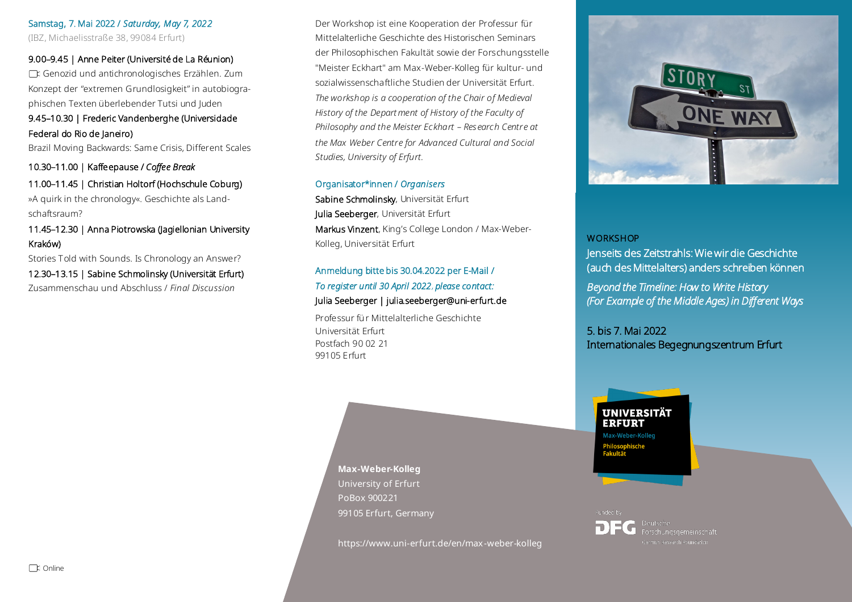Samstag, 7. Mai 2022 / *Saturday, May 7, 2022*  (IBZ, Michaelisstraße 38, 99084 Erfurt)

#### 9.00–9.45 | Anne Peiter (Université de La Réunion)

Genozid und antichronologisches Erzählen. Zum Konzept der "extremen Grundlosigkeit" in autobiographischen Texten überlebender Tutsi und Juden

### 9.45–10.30 | Frederic Vandenberghe (Universidade Federal do Rio de Janeiro)

Brazil Moving Backwards: Same Crisis, Different Scales

10.30–11.00 | Kaffeepause / *Coffee Break*

# 11.00–11.45 | Christian Holtorf (Hochschule Coburg) »A quirk in the chronology«. Geschichte als Land-

schaftsraum?

## 11.45–12.30 | Anna Piotrowska (Jagiellonian University Kraków)

Stories Told with Sounds. Is Chronology an Answer? 12.30–13.15 | Sabine Schmolinsky (Universität Erfurt) Zusammenschau und Abschluss / *Final Discussion* 

Der Workshop ist eine Kooperation der Professur für Mittelalterliche Geschichte des Historischen Seminars der Philosophischen Fakultät sowie der Forschungsstelle "Meister Eckhart" am Max-Weber-Kolleg für kultur- und sozialwissenschaftliche Studien der Universität Erfurt. *The workshop is a cooperation of the Chair of Medieval History of the Depart ment of History of the Faculty of Philosophy and the Meister Eckhart – Research Centre at the Max Weber Centre for Advanced Cultural and Social Studies, University of Erfurt.*

#### Organisator\*innen / *Organisers*

Sabine Schmolinsky, Universität Erfurt Julia Seeberger, Universität Erfurt Markus Vinzent, King's College London / Max-Weber-Kolleg, Universität Erfurt

## Anmeldung bitte bis 30.04.2022 per E-Mail / *To register until 30 April 2022, please contact:*  Julia Seeberger | julia.seeberger@uni-erfurt.de

Professur fü r Mittelalterliche Geschichte Universität Erfurt Postfach 90 02 21 99105 Erfurt

#### **WORKSHOP**

Jenseits des Zeitstrahls: Wie wir die Geschichte (auch des Mittelalters) anders schreiben können

*Beyond the Timeline: How to Write History (For Example of the Middle Ages) in Different Ways* 

5. bis 7. Mai 2022 Internationales Begegnungszentrum Erfurt

# **UNIVERSITÄT ERFURT** Max-Weber-Kolleg

Philosopi<br>Fakultät

Funded by Deutsche Forschungsgemeinschaft

**Max-Weber-Kolleg** University of Erfurt PoBox 900221 99105 Erfurt, Germany

https://www.uni-erfurt.de/en/max-weber-kolleg